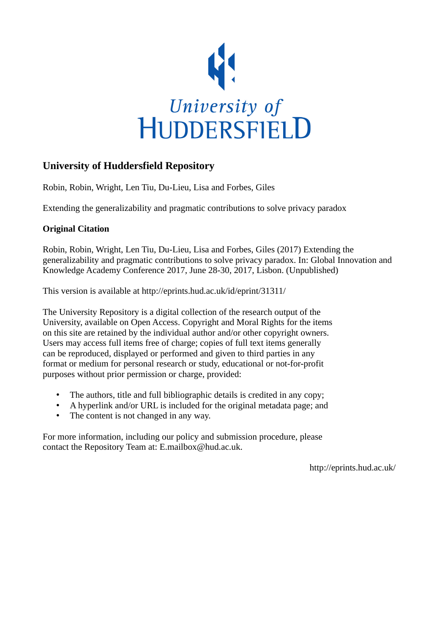

# **University of Huddersfield Repository**

Robin, Robin, Wright, Len Tiu, Du-Lieu, Lisa and Forbes, Giles

Extending the generalizability and pragmatic contributions to solve privacy paradox

### **Original Citation**

Robin, Robin, Wright, Len Tiu, Du-Lieu, Lisa and Forbes, Giles (2017) Extending the generalizability and pragmatic contributions to solve privacy paradox. In: Global Innovation and Knowledge Academy Conference 2017, June 28-30, 2017, Lisbon. (Unpublished)

This version is available at http://eprints.hud.ac.uk/id/eprint/31311/

The University Repository is a digital collection of the research output of the University, available on Open Access. Copyright and Moral Rights for the items on this site are retained by the individual author and/or other copyright owners. Users may access full items free of charge; copies of full text items generally can be reproduced, displayed or performed and given to third parties in any format or medium for personal research or study, educational or not-for-profit purposes without prior permission or charge, provided:

- The authors, title and full bibliographic details is credited in any copy;
- A hyperlink and/or URL is included for the original metadata page; and
- The content is not changed in any way.

For more information, including our policy and submission procedure, please contact the Repository Team at: E.mailbox@hud.ac.uk.

http://eprints.hud.ac.uk/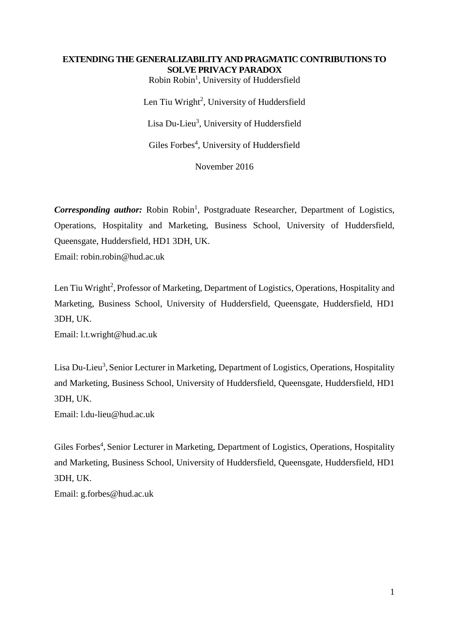### **EXTENDING THE GENERALIZABILITY AND PRAGMATIC CONTRIBUTIONS TO SOLVE PRIVACY PARADOX**

Robin Robin<sup>1</sup>, University of Huddersfield Len Tiu Wright<sup>2</sup>, University of Huddersfield Lisa Du-Lieu<sup>3</sup>, University of Huddersfield

Giles Forbes<sup>4</sup>, University of Huddersfield

November 2016

Corresponding author: Robin Robin<sup>1</sup>, Postgraduate Researcher, Department of Logistics, Operations, Hospitality and Marketing, Business School, University of Huddersfield, Queensgate, Huddersfield, HD1 3DH, UK.

Email: robin.robin@hud.ac.uk

Len Tiu Wright<sup>2</sup>, Professor of Marketing, Department of Logistics, Operations, Hospitality and Marketing, Business School, University of Huddersfield, Queensgate, Huddersfield, HD1 3DH, UK.

Email: l.t.wright@hud.ac.uk

Lisa Du-Lieu<sup>3</sup>, Senior Lecturer in Marketing, Department of Logistics, Operations, Hospitality and Marketing, Business School, University of Huddersfield, Queensgate, Huddersfield, HD1 3DH, UK.

Email: l.du-lieu@hud.ac.uk

Giles Forbes<sup>4</sup>, Senior Lecturer in Marketing, Department of Logistics, Operations, Hospitality and Marketing, Business School, University of Huddersfield, Queensgate, Huddersfield, HD1 3DH, UK.

Email: g.forbes@hud.ac.uk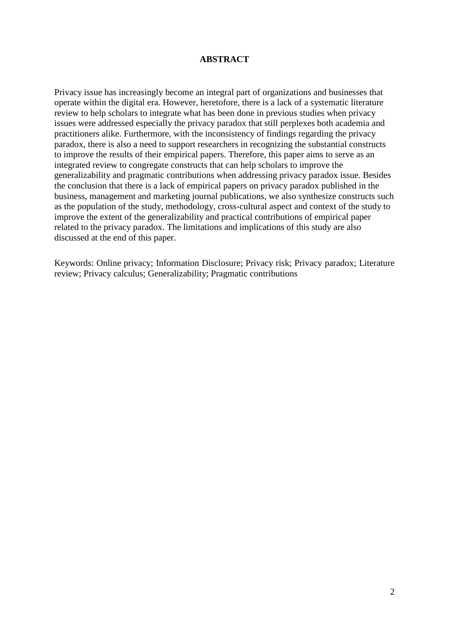#### **ABSTRACT**

Privacy issue has increasingly become an integral part of organizations and businesses that operate within the digital era. However, heretofore, there is a lack of a systematic literature review to help scholars to integrate what has been done in previous studies when privacy issues were addressed especially the privacy paradox that still perplexes both academia and practitioners alike. Furthermore, with the inconsistency of findings regarding the privacy paradox, there is also a need to support researchers in recognizing the substantial constructs to improve the results of their empirical papers. Therefore, this paper aims to serve as an integrated review to congregate constructs that can help scholars to improve the generalizability and pragmatic contributions when addressing privacy paradox issue. Besides the conclusion that there is a lack of empirical papers on privacy paradox published in the business, management and marketing journal publications, we also synthesize constructs such as the population of the study, methodology, cross-cultural aspect and context of the study to improve the extent of the generalizability and practical contributions of empirical paper related to the privacy paradox. The limitations and implications of this study are also discussed at the end of this paper.

Keywords: Online privacy; Information Disclosure; Privacy risk; Privacy paradox; Literature review; Privacy calculus; Generalizability; Pragmatic contributions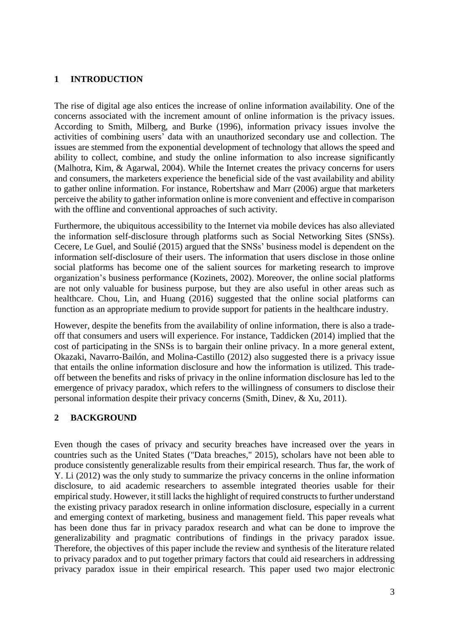### **1 INTRODUCTION**

The rise of digital age also entices the increase of online information availability. One of the concerns associated with the increment amount of online information is the privacy issues. According to Smith, Milberg, and Burke (1996), information privacy issues involve the activities of combining users' data with an unauthorized secondary use and collection. The issues are stemmed from the exponential development of technology that allows the speed and ability to collect, combine, and study the online information to also increase significantly (Malhotra, Kim, & Agarwal, 2004). While the Internet creates the privacy concerns for users and consumers, the marketers experience the beneficial side of the vast availability and ability to gather online information. For instance, Robertshaw and Marr (2006) argue that marketers perceive the ability to gather information online is more convenient and effective in comparison with the offline and conventional approaches of such activity.

Furthermore, the ubiquitous accessibility to the Internet via mobile devices has also alleviated the information self-disclosure through platforms such as Social Networking Sites (SNSs). Cecere, Le Guel, and Soulié (2015) argued that the SNSs' business model is dependent on the information self-disclosure of their users. The information that users disclose in those online social platforms has become one of the salient sources for marketing research to improve organization's business performance (Kozinets, 2002). Moreover, the online social platforms are not only valuable for business purpose, but they are also useful in other areas such as healthcare. Chou, Lin, and Huang (2016) suggested that the online social platforms can function as an appropriate medium to provide support for patients in the healthcare industry.

However, despite the benefits from the availability of online information, there is also a tradeoff that consumers and users will experience. For instance, Taddicken (2014) implied that the cost of participating in the SNSs is to bargain their online privacy. In a more general extent, Okazaki, Navarro-Bailón, and Molina-Castillo (2012) also suggested there is a privacy issue that entails the online information disclosure and how the information is utilized. This tradeoff between the benefits and risks of privacy in the online information disclosure has led to the emergence of privacy paradox, which refers to the willingness of consumers to disclose their personal information despite their privacy concerns (Smith, Dinev, & Xu, 2011).

### **2 BACKGROUND**

Even though the cases of privacy and security breaches have increased over the years in countries such as the United States ("Data breaches," 2015), scholars have not been able to produce consistently generalizable results from their empirical research. Thus far, the work of Y. Li (2012) was the only study to summarize the privacy concerns in the online information disclosure, to aid academic researchers to assemble integrated theories usable for their empirical study. However, it still lacks the highlight of required constructs to further understand the existing privacy paradox research in online information disclosure, especially in a current and emerging context of marketing, business and management field. This paper reveals what has been done thus far in privacy paradox research and what can be done to improve the generalizability and pragmatic contributions of findings in the privacy paradox issue. Therefore, the objectives of this paper include the review and synthesis of the literature related to privacy paradox and to put together primary factors that could aid researchers in addressing privacy paradox issue in their empirical research. This paper used two major electronic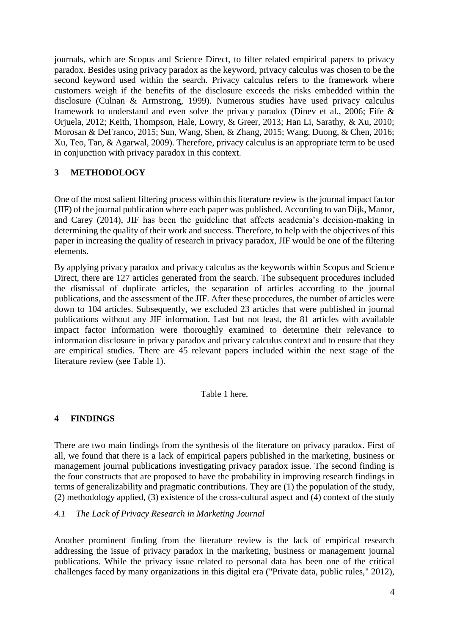journals, which are Scopus and Science Direct, to filter related empirical papers to privacy paradox. Besides using privacy paradox as the keyword, privacy calculus was chosen to be the second keyword used within the search. Privacy calculus refers to the framework where customers weigh if the benefits of the disclosure exceeds the risks embedded within the disclosure (Culnan & Armstrong, 1999). Numerous studies have used privacy calculus framework to understand and even solve the privacy paradox (Dinev et al., 2006; Fife  $\&$ Orjuela, 2012; Keith, Thompson, Hale, Lowry, & Greer, 2013; Han Li, Sarathy, & Xu, 2010; Morosan & DeFranco, 2015; Sun, Wang, Shen, & Zhang, 2015; Wang, Duong, & Chen, 2016; Xu, Teo, Tan, & Agarwal, 2009). Therefore, privacy calculus is an appropriate term to be used in conjunction with privacy paradox in this context.

## **3 METHODOLOGY**

One of the most salient filtering process within this literature review is the journal impact factor (JIF) of the journal publication where each paper was published. According to van Dijk, Manor, and Carey (2014), JIF has been the guideline that affects academia's decision-making in determining the quality of their work and success. Therefore, to help with the objectives of this paper in increasing the quality of research in privacy paradox, JIF would be one of the filtering elements.

By applying privacy paradox and privacy calculus as the keywords within Scopus and Science Direct, there are 127 articles generated from the search. The subsequent procedures included the dismissal of duplicate articles, the separation of articles according to the journal publications, and the assessment of the JIF. After these procedures, the number of articles were down to 104 articles. Subsequently, we excluded 23 articles that were published in journal publications without any JIF information. Last but not least, the 81 articles with available impact factor information were thoroughly examined to determine their relevance to information disclosure in privacy paradox and privacy calculus context and to ensure that they are empirical studies. There are 45 relevant papers included within the next stage of the literature review (see Table 1).

### Table 1 here.

#### **4 FINDINGS**

There are two main findings from the synthesis of the literature on privacy paradox. First of all, we found that there is a lack of empirical papers published in the marketing, business or management journal publications investigating privacy paradox issue. The second finding is the four constructs that are proposed to have the probability in improving research findings in terms of generalizability and pragmatic contributions. They are (1) the population of the study, (2) methodology applied, (3) existence of the cross-cultural aspect and (4) context of the study

#### *4.1 The Lack of Privacy Research in Marketing Journal*

Another prominent finding from the literature review is the lack of empirical research addressing the issue of privacy paradox in the marketing, business or management journal publications. While the privacy issue related to personal data has been one of the critical challenges faced by many organizations in this digital era ("Private data, public rules," 2012),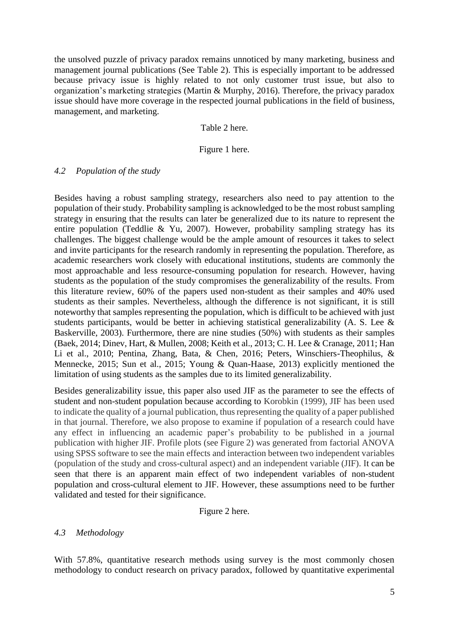the unsolved puzzle of privacy paradox remains unnoticed by many marketing, business and management journal publications (See Table 2). This is especially important to be addressed because privacy issue is highly related to not only customer trust issue, but also to organization's marketing strategies (Martin & Murphy, 2016). Therefore, the privacy paradox issue should have more coverage in the respected journal publications in the field of business, management, and marketing.

### Table 2 here.

### Figure 1 here.

#### *4.2 Population of the study*

Besides having a robust sampling strategy, researchers also need to pay attention to the population of their study. Probability sampling is acknowledged to be the most robust sampling strategy in ensuring that the results can later be generalized due to its nature to represent the entire population (Teddlie & Yu, 2007). However, probability sampling strategy has its challenges. The biggest challenge would be the ample amount of resources it takes to select and invite participants for the research randomly in representing the population. Therefore, as academic researchers work closely with educational institutions, students are commonly the most approachable and less resource-consuming population for research. However, having students as the population of the study compromises the generalizability of the results. From this literature review, 60% of the papers used non-student as their samples and 40% used students as their samples. Nevertheless, although the difference is not significant, it is still noteworthy that samples representing the population, which is difficult to be achieved with just students participants, would be better in achieving statistical generalizability (A. S. Lee & Baskerville, 2003). Furthermore, there are nine studies (50%) with students as their samples (Baek, 2014; Dinev, Hart, & Mullen, 2008; Keith et al., 2013; C. H. Lee & Cranage, 2011; Han Li et al., 2010; Pentina, Zhang, Bata, & Chen, 2016; Peters, Winschiers-Theophilus, & Mennecke, 2015; Sun et al., 2015; Young & Quan-Haase, 2013) explicitly mentioned the limitation of using students as the samples due to its limited generalizability.

Besides generalizability issue, this paper also used JIF as the parameter to see the effects of student and non-student population because according to Korobkin (1999), JIF has been used to indicate the quality of a journal publication, thus representing the quality of a paper published in that journal. Therefore, we also propose to examine if population of a research could have any effect in influencing an academic paper's probability to be published in a journal publication with higher JIF. Profile plots (see Figure 2) was generated from factorial ANOVA using SPSS software to see the main effects and interaction between two independent variables (population of the study and cross-cultural aspect) and an independent variable (JIF). It can be seen that there is an apparent main effect of two independent variables of non-student population and cross-cultural element to JIF. However, these assumptions need to be further validated and tested for their significance.

Figure 2 here.

### *4.3 Methodology*

With 57.8%, quantitative research methods using survey is the most commonly chosen methodology to conduct research on privacy paradox, followed by quantitative experimental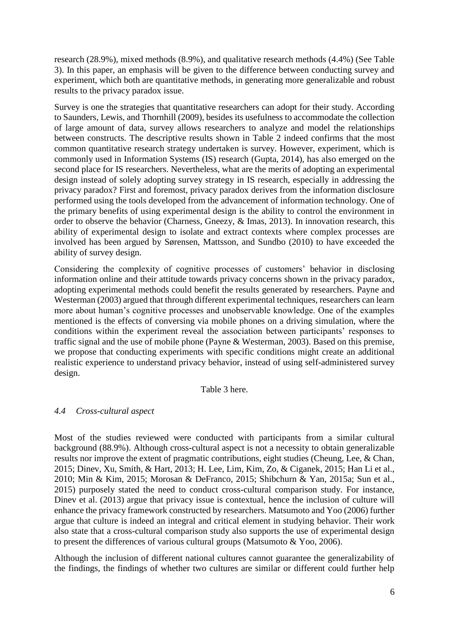research (28.9%), mixed methods (8.9%), and qualitative research methods (4.4%) (See Table 3). In this paper, an emphasis will be given to the difference between conducting survey and experiment, which both are quantitative methods, in generating more generalizable and robust results to the privacy paradox issue.

Survey is one the strategies that quantitative researchers can adopt for their study. According to Saunders, Lewis, and Thornhill (2009), besides its usefulness to accommodate the collection of large amount of data, survey allows researchers to analyze and model the relationships between constructs. The descriptive results shown in Table 2 indeed confirms that the most common quantitative research strategy undertaken is survey. However, experiment, which is commonly used in Information Systems (IS) research (Gupta, 2014), has also emerged on the second place for IS researchers. Nevertheless, what are the merits of adopting an experimental design instead of solely adopting survey strategy in IS research, especially in addressing the privacy paradox? First and foremost, privacy paradox derives from the information disclosure performed using the tools developed from the advancement of information technology. One of the primary benefits of using experimental design is the ability to control the environment in order to observe the behavior (Charness, Gneezy, & Imas, 2013). In innovation research, this ability of experimental design to isolate and extract contexts where complex processes are involved has been argued by Sørensen, Mattsson, and Sundbo (2010) to have exceeded the ability of survey design.

Considering the complexity of cognitive processes of customers' behavior in disclosing information online and their attitude towards privacy concerns shown in the privacy paradox, adopting experimental methods could benefit the results generated by researchers. Payne and Westerman (2003) argued that through different experimental techniques, researchers can learn more about human's cognitive processes and unobservable knowledge. One of the examples mentioned is the effects of conversing via mobile phones on a driving simulation, where the conditions within the experiment reveal the association between participants' responses to traffic signal and the use of mobile phone (Payne & Westerman, 2003). Based on this premise, we propose that conducting experiments with specific conditions might create an additional realistic experience to understand privacy behavior, instead of using self-administered survey design.

Table 3 here.

### *4.4 Cross-cultural aspect*

Most of the studies reviewed were conducted with participants from a similar cultural background (88.9%). Although cross-cultural aspect is not a necessity to obtain generalizable results nor improve the extent of pragmatic contributions, eight studies (Cheung, Lee, & Chan, 2015; Dinev, Xu, Smith, & Hart, 2013; H. Lee, Lim, Kim, Zo, & Ciganek, 2015; Han Li et al., 2010; Min & Kim, 2015; Morosan & DeFranco, 2015; Shibchurn & Yan, 2015a; Sun et al., 2015) purposely stated the need to conduct cross-cultural comparison study. For instance, Dinev et al. (2013) argue that privacy issue is contextual, hence the inclusion of culture will enhance the privacy framework constructed by researchers. Matsumoto and Yoo (2006) further argue that culture is indeed an integral and critical element in studying behavior. Their work also state that a cross-cultural comparison study also supports the use of experimental design to present the differences of various cultural groups (Matsumoto & Yoo, 2006).

Although the inclusion of different national cultures cannot guarantee the generalizability of the findings, the findings of whether two cultures are similar or different could further help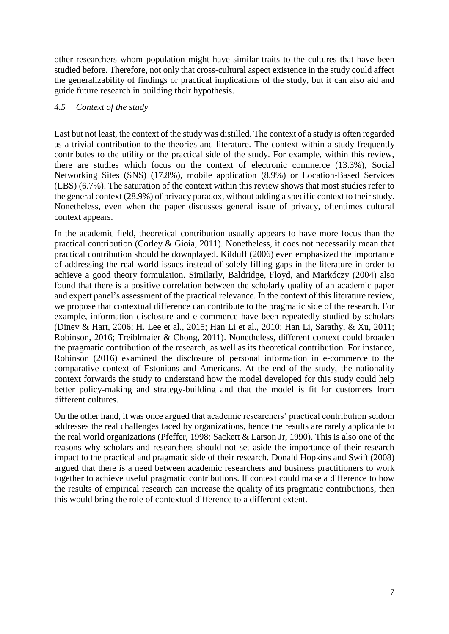other researchers whom population might have similar traits to the cultures that have been studied before. Therefore, not only that cross-cultural aspect existence in the study could affect the generalizability of findings or practical implications of the study, but it can also aid and guide future research in building their hypothesis.

### *4.5 Context of the study*

Last but not least, the context of the study was distilled. The context of a study is often regarded as a trivial contribution to the theories and literature. The context within a study frequently contributes to the utility or the practical side of the study. For example, within this review, there are studies which focus on the context of electronic commerce (13.3%), Social Networking Sites (SNS) (17.8%), mobile application (8.9%) or Location-Based Services (LBS) (6.7%). The saturation of the context within this review shows that most studies refer to the general context (28.9%) of privacy paradox, without adding a specific context to their study. Nonetheless, even when the paper discusses general issue of privacy, oftentimes cultural context appears.

In the academic field, theoretical contribution usually appears to have more focus than the practical contribution (Corley & Gioia, 2011). Nonetheless, it does not necessarily mean that practical contribution should be downplayed. Kilduff (2006) even emphasized the importance of addressing the real world issues instead of solely filling gaps in the literature in order to achieve a good theory formulation. Similarly, Baldridge, Floyd, and Markóczy (2004) also found that there is a positive correlation between the scholarly quality of an academic paper and expert panel's assessment of the practical relevance. In the context of this literature review, we propose that contextual difference can contribute to the pragmatic side of the research. For example, information disclosure and e-commerce have been repeatedly studied by scholars (Dinev & Hart, 2006; H. Lee et al., 2015; Han Li et al., 2010; Han Li, Sarathy, & Xu, 2011; Robinson, 2016; Treiblmaier & Chong, 2011). Nonetheless, different context could broaden the pragmatic contribution of the research, as well as its theoretical contribution. For instance, Robinson (2016) examined the disclosure of personal information in e-commerce to the comparative context of Estonians and Americans. At the end of the study, the nationality context forwards the study to understand how the model developed for this study could help better policy-making and strategy-building and that the model is fit for customers from different cultures.

On the other hand, it was once argued that academic researchers' practical contribution seldom addresses the real challenges faced by organizations, hence the results are rarely applicable to the real world organizations (Pfeffer, 1998; Sackett & Larson Jr, 1990). This is also one of the reasons why scholars and researchers should not set aside the importance of their research impact to the practical and pragmatic side of their research. Donald Hopkins and Swift (2008) argued that there is a need between academic researchers and business practitioners to work together to achieve useful pragmatic contributions. If context could make a difference to how the results of empirical research can increase the quality of its pragmatic contributions, then this would bring the role of contextual difference to a different extent.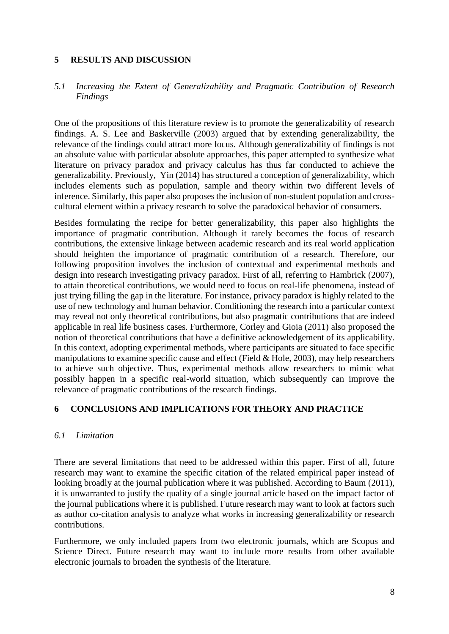### **5 RESULTS AND DISCUSSION**

### *5.1 Increasing the Extent of Generalizability and Pragmatic Contribution of Research Findings*

One of the propositions of this literature review is to promote the generalizability of research findings. A. S. Lee and Baskerville (2003) argued that by extending generalizability, the relevance of the findings could attract more focus. Although generalizability of findings is not an absolute value with particular absolute approaches, this paper attempted to synthesize what literature on privacy paradox and privacy calculus has thus far conducted to achieve the generalizability. Previously, Yin (2014) has structured a conception of generalizability, which includes elements such as population, sample and theory within two different levels of inference. Similarly, this paper also proposes the inclusion of non-student population and crosscultural element within a privacy research to solve the paradoxical behavior of consumers.

Besides formulating the recipe for better generalizability, this paper also highlights the importance of pragmatic contribution. Although it rarely becomes the focus of research contributions, the extensive linkage between academic research and its real world application should heighten the importance of pragmatic contribution of a research. Therefore, our following proposition involves the inclusion of contextual and experimental methods and design into research investigating privacy paradox. First of all, referring to Hambrick (2007), to attain theoretical contributions, we would need to focus on real-life phenomena, instead of just trying filling the gap in the literature. For instance, privacy paradox is highly related to the use of new technology and human behavior. Conditioning the research into a particular context may reveal not only theoretical contributions, but also pragmatic contributions that are indeed applicable in real life business cases. Furthermore, Corley and Gioia (2011) also proposed the notion of theoretical contributions that have a definitive acknowledgement of its applicability. In this context, adopting experimental methods, where participants are situated to face specific manipulations to examine specific cause and effect (Field  $&$  Hole, 2003), may help researchers to achieve such objective. Thus, experimental methods allow researchers to mimic what possibly happen in a specific real-world situation, which subsequently can improve the relevance of pragmatic contributions of the research findings.

### **6 CONCLUSIONS AND IMPLICATIONS FOR THEORY AND PRACTICE**

### *6.1 Limitation*

There are several limitations that need to be addressed within this paper. First of all, future research may want to examine the specific citation of the related empirical paper instead of looking broadly at the journal publication where it was published. According to Baum (2011), it is unwarranted to justify the quality of a single journal article based on the impact factor of the journal publications where it is published. Future research may want to look at factors such as author co-citation analysis to analyze what works in increasing generalizability or research contributions.

Furthermore, we only included papers from two electronic journals, which are Scopus and Science Direct. Future research may want to include more results from other available electronic journals to broaden the synthesis of the literature.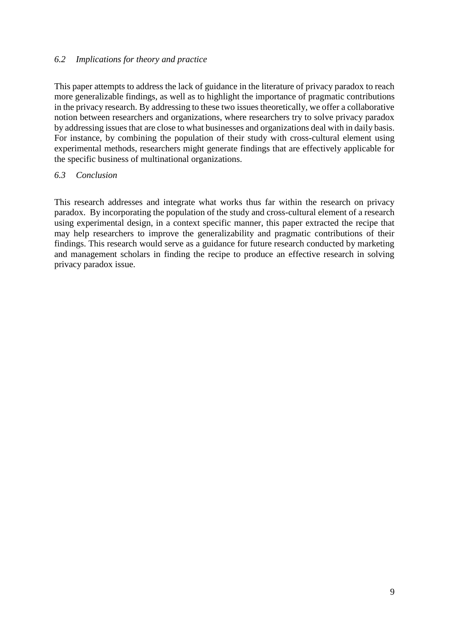### *6.2 Implications for theory and practice*

This paper attempts to address the lack of guidance in the literature of privacy paradox to reach more generalizable findings, as well as to highlight the importance of pragmatic contributions in the privacy research. By addressing to these two issues theoretically, we offer a collaborative notion between researchers and organizations, where researchers try to solve privacy paradox by addressing issues that are close to what businesses and organizations deal with in daily basis. For instance, by combining the population of their study with cross-cultural element using experimental methods, researchers might generate findings that are effectively applicable for the specific business of multinational organizations.

#### *6.3 Conclusion*

This research addresses and integrate what works thus far within the research on privacy paradox. By incorporating the population of the study and cross-cultural element of a research using experimental design, in a context specific manner, this paper extracted the recipe that may help researchers to improve the generalizability and pragmatic contributions of their findings. This research would serve as a guidance for future research conducted by marketing and management scholars in finding the recipe to produce an effective research in solving privacy paradox issue.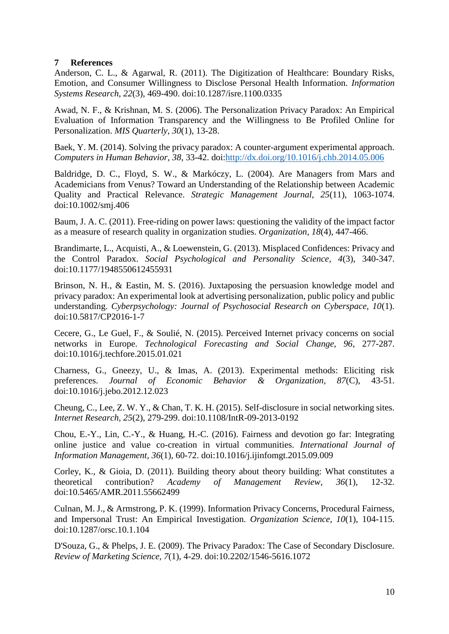#### **7 References**

Anderson, C. L., & Agarwal, R. (2011). The Digitization of Healthcare: Boundary Risks, Emotion, and Consumer Willingness to Disclose Personal Health Information. *Information Systems Research, 22*(3), 469-490. doi:10.1287/isre.1100.0335

Awad, N. F., & Krishnan, M. S. (2006). The Personalization Privacy Paradox: An Empirical Evaluation of Information Transparency and the Willingness to Be Profiled Online for Personalization. *MIS Quarterly, 30*(1), 13-28.

Baek, Y. M. (2014). Solving the privacy paradox: A counter-argument experimental approach. *Computers in Human Behavior, 38*, 33-42. doi[:http://dx.doi.org/10.1016/j.chb.2014.05.006](http://dx.doi.org/10.1016/j.chb.2014.05.006)

Baldridge, D. C., Floyd, S. W., & Markóczy, L. (2004). Are Managers from Mars and Academicians from Venus? Toward an Understanding of the Relationship between Academic Quality and Practical Relevance. *Strategic Management Journal, 25*(11), 1063-1074. doi:10.1002/smj.406

Baum, J. A. C. (2011). Free-riding on power laws: questioning the validity of the impact factor as a measure of research quality in organization studies. *Organization, 18*(4), 447-466.

Brandimarte, L., Acquisti, A., & Loewenstein, G. (2013). Misplaced Confidences: Privacy and the Control Paradox. *Social Psychological and Personality Science, 4*(3), 340-347. doi:10.1177/1948550612455931

Brinson, N. H., & Eastin, M. S. (2016). Juxtaposing the persuasion knowledge model and privacy paradox: An experimental look at advertising personalization, public policy and public understanding. *Cyberpsychology: Journal of Psychosocial Research on Cyberspace, 10*(1). doi:10.5817/CP2016-1-7

Cecere, G., Le Guel, F., & Soulié, N. (2015). Perceived Internet privacy concerns on social networks in Europe. *Technological Forecasting and Social Change, 96*, 277-287. doi:10.1016/j.techfore.2015.01.021

Charness, G., Gneezy, U., & Imas, A. (2013). Experimental methods: Eliciting risk preferences. *Journal of Economic Behavior & Organization, 87*(C), 43-51. doi:10.1016/j.jebo.2012.12.023

Cheung, C., Lee, Z. W. Y., & Chan, T. K. H. (2015). Self-disclosure in social networking sites. *Internet Research, 25*(2), 279-299. doi:10.1108/IntR-09-2013-0192

Chou, E.-Y., Lin, C.-Y., & Huang, H.-C. (2016). Fairness and devotion go far: Integrating online justice and value co-creation in virtual communities. *International Journal of Information Management, 36*(1), 60-72. doi:10.1016/j.ijinfomgt.2015.09.009

Corley, K., & Gioia, D. (2011). Building theory about theory building: What constitutes a theoretical contribution? *Academy of Management Review, 36*(1), 12-32. doi:10.5465/AMR.2011.55662499

Culnan, M. J., & Armstrong, P. K. (1999). Information Privacy Concerns, Procedural Fairness, and Impersonal Trust: An Empirical Investigation. *Organization Science, 10*(1), 104-115. doi:10.1287/orsc.10.1.104

D'Souza, G., & Phelps, J. E. (2009). The Privacy Paradox: The Case of Secondary Disclosure. *Review of Marketing Science, 7*(1), 4-29. doi:10.2202/1546-5616.1072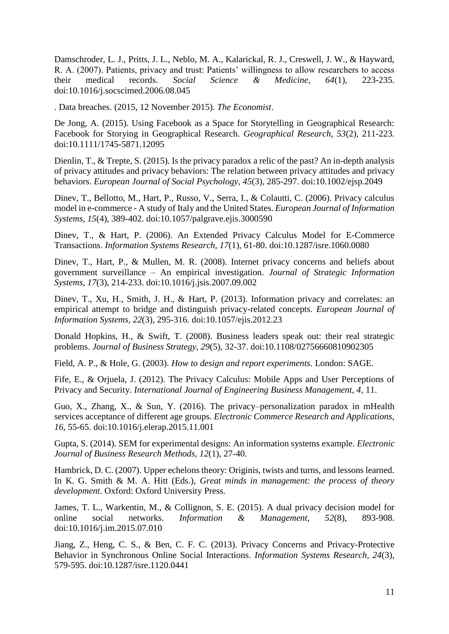Damschroder, L. J., Pritts, J. L., Neblo, M. A., Kalarickal, R. J., Creswell, J. W., & Hayward, R. A. (2007). Patients, privacy and trust: Patients' willingness to allow researchers to access their medical records. *Social Science & Medicine, 64*(1), 223-235. doi:10.1016/j.socscimed.2006.08.045

. Data breaches. (2015, 12 November 2015). *The Economist*.

De Jong, A. (2015). Using Facebook as a Space for Storytelling in Geographical Research: Facebook for Storying in Geographical Research. *Geographical Research, 53*(2), 211-223. doi:10.1111/1745-5871.12095

Dienlin, T., & Trepte, S. (2015). Is the privacy paradox a relic of the past? An in-depth analysis of privacy attitudes and privacy behaviors: The relation between privacy attitudes and privacy behaviors. *European Journal of Social Psychology, 45*(3), 285-297. doi:10.1002/ejsp.2049

Dinev, T., Bellotto, M., Hart, P., Russo, V., Serra, I., & Colautti, C. (2006). Privacy calculus model in e-commerce - A study of Italy and the United States. *European Journal of Information Systems, 15*(4), 389-402. doi:10.1057/palgrave.ejis.3000590

Dinev, T., & Hart, P. (2006). An Extended Privacy Calculus Model for E-Commerce Transactions. *Information Systems Research, 17*(1), 61-80. doi:10.1287/isre.1060.0080

Dinev, T., Hart, P., & Mullen, M. R. (2008). Internet privacy concerns and beliefs about government surveillance – An empirical investigation. *Journal of Strategic Information Systems, 17*(3), 214-233. doi:10.1016/j.jsis.2007.09.002

Dinev, T., Xu, H., Smith, J. H., & Hart, P. (2013). Information privacy and correlates: an empirical attempt to bridge and distinguish privacy-related concepts. *European Journal of Information Systems, 22*(3), 295-316. doi:10.1057/ejis.2012.23

Donald Hopkins, H., & Swift, T. (2008). Business leaders speak out: their real strategic problems. *Journal of Business Strategy, 29*(5), 32-37. doi:10.1108/02756660810902305

Field, A. P., & Hole, G. (2003). *How to design and report experiments*. London: SAGE.

Fife, E., & Orjuela, J. (2012). The Privacy Calculus: Mobile Apps and User Perceptions of Privacy and Security. *International Journal of Engineering Business Management, 4*, 11.

Guo, X., Zhang, X., & Sun, Y. (2016). The privacy–personalization paradox in mHealth services acceptance of different age groups. *Electronic Commerce Research and Applications, 16*, 55-65. doi:10.1016/j.elerap.2015.11.001

Gupta, S. (2014). SEM for experimental designs: An information systems example. *Electronic Journal of Business Research Methods, 12*(1), 27-40.

Hambrick, D. C. (2007). Upper echelons theory: Originis, twists and turns, and lessons learned. In K. G. Smith & M. A. Hitt (Eds.), *Great minds in management: the process of theory development*. Oxford: Oxford University Press.

James, T. L., Warkentin, M., & Collignon, S. E. (2015). A dual privacy decision model for online social networks. *Information & Management, 52*(8), 893-908. doi:10.1016/j.im.2015.07.010

Jiang, Z., Heng, C. S., & Ben, C. F. C. (2013). Privacy Concerns and Privacy-Protective Behavior in Synchronous Online Social Interactions. *Information Systems Research, 24*(3), 579-595. doi:10.1287/isre.1120.0441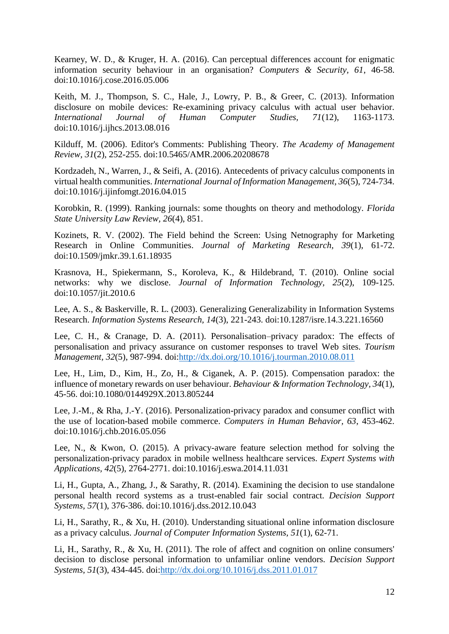Kearney, W. D., & Kruger, H. A. (2016). Can perceptual differences account for enigmatic information security behaviour in an organisation? *Computers & Security, 61*, 46-58. doi:10.1016/j.cose.2016.05.006

Keith, M. J., Thompson, S. C., Hale, J., Lowry, P. B., & Greer, C. (2013). Information disclosure on mobile devices: Re-examining privacy calculus with actual user behavior. *International Journal of Human Computer Studies, 71*(12), 1163-1173. doi:10.1016/j.ijhcs.2013.08.016

Kilduff, M. (2006). Editor's Comments: Publishing Theory. *The Academy of Management Review, 31*(2), 252-255. doi:10.5465/AMR.2006.20208678

Kordzadeh, N., Warren, J., & Seifi, A. (2016). Antecedents of privacy calculus components in virtual health communities. *International Journal of Information Management, 36*(5), 724-734. doi:10.1016/j.ijinfomgt.2016.04.015

Korobkin, R. (1999). Ranking journals: some thoughts on theory and methodology. *Florida State University Law Review, 26*(4), 851.

Kozinets, R. V. (2002). The Field behind the Screen: Using Netnography for Marketing Research in Online Communities. *Journal of Marketing Research, 39*(1), 61-72. doi:10.1509/jmkr.39.1.61.18935

Krasnova, H., Spiekermann, S., Koroleva, K., & Hildebrand, T. (2010). Online social networks: why we disclose. *Journal of Information Technology, 25*(2), 109-125. doi:10.1057/jit.2010.6

Lee, A. S., & Baskerville, R. L. (2003). Generalizing Generalizability in Information Systems Research. *Information Systems Research, 14*(3), 221-243. doi:10.1287/isre.14.3.221.16560

Lee, C. H., & Cranage, D. A. (2011). Personalisation–privacy paradox: The effects of personalisation and privacy assurance on customer responses to travel Web sites. *Tourism Management, 32*(5), 987-994. doi[:http://dx.doi.org/10.1016/j.tourman.2010.08.011](http://dx.doi.org/10.1016/j.tourman.2010.08.011)

Lee, H., Lim, D., Kim, H., Zo, H., & Ciganek, A. P. (2015). Compensation paradox: the influence of monetary rewards on user behaviour. *Behaviour & Information Technology, 34*(1), 45-56. doi:10.1080/0144929X.2013.805244

Lee, J.-M., & Rha, J.-Y. (2016). Personalization-privacy paradox and consumer conflict with the use of location-based mobile commerce. *Computers in Human Behavior, 63*, 453-462. doi:10.1016/j.chb.2016.05.056

Lee, N., & Kwon, O. (2015). A privacy-aware feature selection method for solving the personalization-privacy paradox in mobile wellness healthcare services. *Expert Systems with Applications, 42*(5), 2764-2771. doi:10.1016/j.eswa.2014.11.031

Li, H., Gupta, A., Zhang, J., & Sarathy, R. (2014). Examining the decision to use standalone personal health record systems as a trust-enabled fair social contract. *Decision Support Systems, 57*(1), 376-386. doi:10.1016/j.dss.2012.10.043

Li, H., Sarathy, R., & Xu, H. (2010). Understanding situational online information disclosure as a privacy calculus. *Journal of Computer Information Systems, 51*(1), 62-71.

Li, H., Sarathy, R., & Xu, H. (2011). The role of affect and cognition on online consumers' decision to disclose personal information to unfamiliar online vendors. *Decision Support Systems, 51*(3), 434-445. doi[:http://dx.doi.org/10.1016/j.dss.2011.01.017](http://dx.doi.org/10.1016/j.dss.2011.01.017)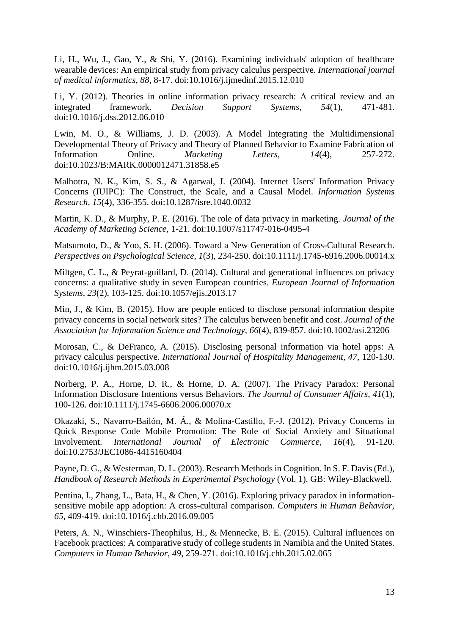Li, H., Wu, J., Gao, Y., & Shi, Y. (2016). Examining individuals' adoption of healthcare wearable devices: An empirical study from privacy calculus perspective. *International journal of medical informatics, 88*, 8-17. doi:10.1016/j.ijmedinf.2015.12.010

Li, Y. (2012). Theories in online information privacy research: A critical review and an integrated framework. *Decision Support Systems, 54*(1), 471-481. doi:10.1016/j.dss.2012.06.010

Lwin, M. O., & Williams, J. D. (2003). A Model Integrating the Multidimensional Developmental Theory of Privacy and Theory of Planned Behavior to Examine Fabrication of Information Online. *Marketing Letters, 14*(4), 257-272. doi:10.1023/B:MARK.0000012471.31858.e5

Malhotra, N. K., Kim, S. S., & Agarwal, J. (2004). Internet Users' Information Privacy Concerns (IUIPC): The Construct, the Scale, and a Causal Model. *Information Systems Research, 15*(4), 336-355. doi:10.1287/isre.1040.0032

Martin, K. D., & Murphy, P. E. (2016). The role of data privacy in marketing. *Journal of the Academy of Marketing Science*, 1-21. doi:10.1007/s11747-016-0495-4

Matsumoto, D., & Yoo, S. H. (2006). Toward a New Generation of Cross-Cultural Research. *Perspectives on Psychological Science, 1*(3), 234-250. doi:10.1111/j.1745-6916.2006.00014.x

Miltgen, C. L., & Peyrat-guillard, D. (2014). Cultural and generational influences on privacy concerns: a qualitative study in seven European countries. *European Journal of Information Systems, 23*(2), 103-125. doi:10.1057/ejis.2013.17

Min, J., & Kim, B. (2015). How are people enticed to disclose personal information despite privacy concerns in social network sites? The calculus between benefit and cost. *Journal of the Association for Information Science and Technology, 66*(4), 839-857. doi:10.1002/asi.23206

Morosan, C., & DeFranco, A. (2015). Disclosing personal information via hotel apps: A privacy calculus perspective. *International Journal of Hospitality Management, 47*, 120-130. doi:10.1016/j.ijhm.2015.03.008

Norberg, P. A., Horne, D. R., & Horne, D. A. (2007). The Privacy Paradox: Personal Information Disclosure Intentions versus Behaviors. *The Journal of Consumer Affairs, 41*(1), 100-126. doi:10.1111/j.1745-6606.2006.00070.x

Okazaki, S., Navarro-Bailón, M. Á., & Molina-Castillo, F.-J. (2012). Privacy Concerns in Quick Response Code Mobile Promotion: The Role of Social Anxiety and Situational Involvement. *International Journal of Electronic Commerce, 16*(4), 91-120. doi:10.2753/JEC1086-4415160404

Payne, D. G., & Westerman, D. L. (2003). Research Methods in Cognition. In S. F. Davis (Ed.), *Handbook of Research Methods in Experimental Psychology* (Vol. 1). GB: Wiley-Blackwell.

Pentina, I., Zhang, L., Bata, H., & Chen, Y. (2016). Exploring privacy paradox in informationsensitive mobile app adoption: A cross-cultural comparison. *Computers in Human Behavior, 65*, 409-419. doi:10.1016/j.chb.2016.09.005

Peters, A. N., Winschiers-Theophilus, H., & Mennecke, B. E. (2015). Cultural influences on Facebook practices: A comparative study of college students in Namibia and the United States. *Computers in Human Behavior, 49*, 259-271. doi:10.1016/j.chb.2015.02.065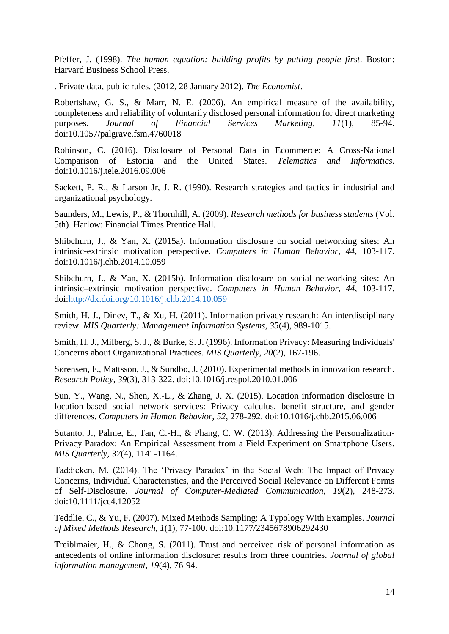Pfeffer, J. (1998). *The human equation: building profits by putting people first*. Boston: Harvard Business School Press.

. Private data, public rules. (2012, 28 January 2012). *The Economist*.

Robertshaw, G. S., & Marr, N. E. (2006). An empirical measure of the availability, completeness and reliability of voluntarily disclosed personal information for direct marketing purposes. *Journal of Financial Services Marketing, 11*(1), 85-94. doi:10.1057/palgrave.fsm.4760018

Robinson, C. (2016). Disclosure of Personal Data in Ecommerce: A Cross-National Comparison of Estonia and the United States. *Telematics and Informatics*. doi:10.1016/j.tele.2016.09.006

Sackett, P. R., & Larson Jr, J. R. (1990). Research strategies and tactics in industrial and organizational psychology.

Saunders, M., Lewis, P., & Thornhill, A. (2009). *Research methods for business students* (Vol. 5th). Harlow: Financial Times Prentice Hall.

Shibchurn, J., & Yan, X. (2015a). Information disclosure on social networking sites: An intrinsic-extrinsic motivation perspective. *Computers in Human Behavior, 44*, 103-117. doi:10.1016/j.chb.2014.10.059

Shibchurn, J., & Yan, X. (2015b). Information disclosure on social networking sites: An intrinsic–extrinsic motivation perspective. *Computers in Human Behavior, 44*, 103-117. doi[:http://dx.doi.org/10.1016/j.chb.2014.10.059](http://dx.doi.org/10.1016/j.chb.2014.10.059)

Smith, H. J., Dinev, T., & Xu, H. (2011). Information privacy research: An interdisciplinary review. *MIS Quarterly: Management Information Systems, 35*(4), 989-1015.

Smith, H. J., Milberg, S. J., & Burke, S. J. (1996). Information Privacy: Measuring Individuals' Concerns about Organizational Practices. *MIS Quarterly, 20*(2), 167-196.

Sørensen, F., Mattsson, J., & Sundbo, J. (2010). Experimental methods in innovation research. *Research Policy, 39*(3), 313-322. doi:10.1016/j.respol.2010.01.006

Sun, Y., Wang, N., Shen, X.-L., & Zhang, J. X. (2015). Location information disclosure in location-based social network services: Privacy calculus, benefit structure, and gender differences. *Computers in Human Behavior, 52*, 278-292. doi:10.1016/j.chb.2015.06.006

Sutanto, J., Palme, E., Tan, C.-H., & Phang, C. W. (2013). Addressing the Personalization-Privacy Paradox: An Empirical Assessment from a Field Experiment on Smartphone Users. *MIS Quarterly, 37*(4), 1141-1164.

Taddicken, M. (2014). The 'Privacy Paradox' in the Social Web: The Impact of Privacy Concerns, Individual Characteristics, and the Perceived Social Relevance on Different Forms of Self-Disclosure. *Journal of Computer-Mediated Communication, 19*(2), 248-273. doi:10.1111/jcc4.12052

Teddlie, C., & Yu, F. (2007). Mixed Methods Sampling: A Typology With Examples. *Journal of Mixed Methods Research, 1*(1), 77-100. doi:10.1177/2345678906292430

Treiblmaier, H., & Chong, S. (2011). Trust and perceived risk of personal information as antecedents of online information disclosure: results from three countries. *Journal of global information management, 19*(4), 76-94.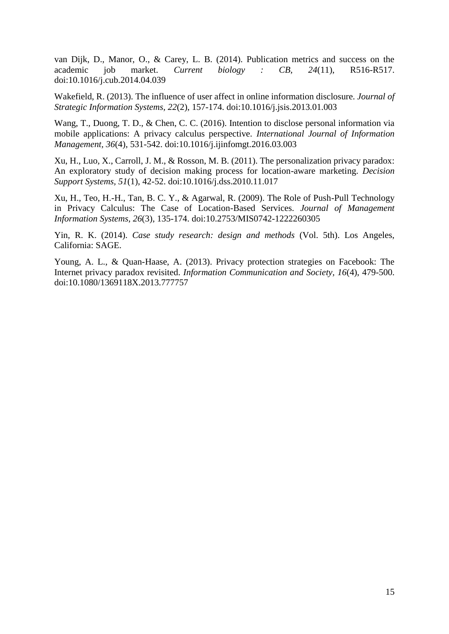van Dijk, D., Manor, O., & Carey, L. B. (2014). Publication metrics and success on the academic job market. *Current biology : CB, 24*(11), R516-R517. doi:10.1016/j.cub.2014.04.039

Wakefield, R. (2013). The influence of user affect in online information disclosure. *Journal of Strategic Information Systems, 22*(2), 157-174. doi:10.1016/j.jsis.2013.01.003

Wang, T., Duong, T. D., & Chen, C. C. (2016). Intention to disclose personal information via mobile applications: A privacy calculus perspective. *International Journal of Information Management, 36*(4), 531-542. doi:10.1016/j.ijinfomgt.2016.03.003

Xu, H., Luo, X., Carroll, J. M., & Rosson, M. B. (2011). The personalization privacy paradox: An exploratory study of decision making process for location-aware marketing. *Decision Support Systems, 51*(1), 42-52. doi:10.1016/j.dss.2010.11.017

Xu, H., Teo, H.-H., Tan, B. C. Y., & Agarwal, R. (2009). The Role of Push-Pull Technology in Privacy Calculus: The Case of Location-Based Services. *Journal of Management Information Systems, 26*(3), 135-174. doi:10.2753/MIS0742-1222260305

Yin, R. K. (2014). *Case study research: design and methods* (Vol. 5th). Los Angeles, California: SAGE.

Young, A. L., & Quan-Haase, A. (2013). Privacy protection strategies on Facebook: The Internet privacy paradox revisited. *Information Communication and Society, 16*(4), 479-500. doi:10.1080/1369118X.2013.777757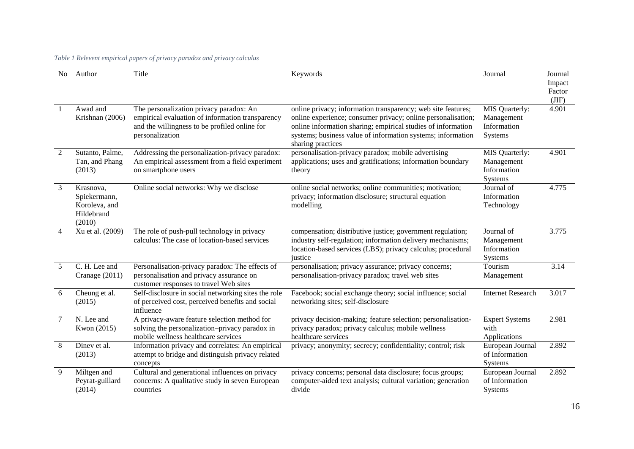#### *Table 1 Relevent empirical papers of privacy paradox and privacy calculus*

| No.            | Author                                                             | Title                                                                                                                                                           | Keywords                                                                                                                                                                                                                                                                         | Journal                                                | Journal<br>Impact<br>Factor<br>(JIF) |
|----------------|--------------------------------------------------------------------|-----------------------------------------------------------------------------------------------------------------------------------------------------------------|----------------------------------------------------------------------------------------------------------------------------------------------------------------------------------------------------------------------------------------------------------------------------------|--------------------------------------------------------|--------------------------------------|
| $\overline{1}$ | Awad and<br>Krishnan (2006)                                        | The personalization privacy paradox: An<br>empirical evaluation of information transparency<br>and the willingness to be profiled online for<br>personalization | online privacy; information transparency; web site features;<br>online experience; consumer privacy; online personalisation;<br>online information sharing; empirical studies of information<br>systems; business value of information systems; information<br>sharing practices | MIS Quarterly:<br>Management<br>Information<br>Systems | 4.901                                |
| 2              | Sutanto, Palme,<br>Tan, and Phang<br>(2013)                        | Addressing the personalization-privacy paradox:<br>An empirical assessment from a field experiment<br>on smartphone users                                       | personalisation-privacy paradox; mobile advertising<br>applications; uses and gratifications; information boundary<br>theory                                                                                                                                                     | MIS Quarterly:<br>Management<br>Information<br>Systems | 4.901                                |
| $\overline{3}$ | Krasnova,<br>Spiekermann,<br>Koroleva, and<br>Hildebrand<br>(2010) | Online social networks: Why we disclose                                                                                                                         | online social networks; online communities; motivation;<br>privacy; information disclosure; structural equation<br>modelling                                                                                                                                                     | Journal of<br>Information<br>Technology                | 4.775                                |
| $\overline{4}$ | Xu et al. (2009)                                                   | The role of push-pull technology in privacy<br>calculus: The case of location-based services                                                                    | compensation; distributive justice; government regulation;<br>industry self-regulation; information delivery mechanisms;<br>location-based services (LBS); privacy calculus; procedural<br>justice                                                                               | Journal of<br>Management<br>Information<br>Systems     | 3.775                                |
| 5              | C. H. Lee and<br>Cranage (2011)                                    | Personalisation-privacy paradox: The effects of<br>personalisation and privacy assurance on<br>customer responses to travel Web sites                           | personalisation; privacy assurance; privacy concerns;<br>personalisation-privacy paradox; travel web sites                                                                                                                                                                       | Tourism<br>Management                                  | 3.14                                 |
| 6              | Cheung et al.<br>(2015)                                            | Self-disclosure in social networking sites the role<br>of perceived cost, perceived benefits and social<br>influence                                            | Facebook; social exchange theory; social influence; social<br>networking sites; self-disclosure                                                                                                                                                                                  | <b>Internet Research</b>                               | 3.017                                |
| $\overline{7}$ | N. Lee and<br>Kwon (2015)                                          | A privacy-aware feature selection method for<br>solving the personalization-privacy paradox in<br>mobile wellness healthcare services                           | privacy decision-making; feature selection; personalisation-<br>privacy paradox; privacy calculus; mobile wellness<br>healthcare services                                                                                                                                        | <b>Expert Systems</b><br>with<br>Applications          | 2.981                                |
| 8              | Diney et al.<br>(2013)                                             | Information privacy and correlates: An empirical<br>attempt to bridge and distinguish privacy related<br>concepts                                               | privacy; anonymity; secrecy; confidentiality; control; risk                                                                                                                                                                                                                      | European Journal<br>of Information<br><b>Systems</b>   | 2.892                                |
| 9              | Miltgen and<br>Peyrat-guillard<br>(2014)                           | Cultural and generational influences on privacy<br>concerns: A qualitative study in seven European<br>countries                                                 | privacy concerns; personal data disclosure; focus groups;<br>computer-aided text analysis; cultural variation; generation<br>divide                                                                                                                                              | European Journal<br>of Information<br>Systems          | 2.892                                |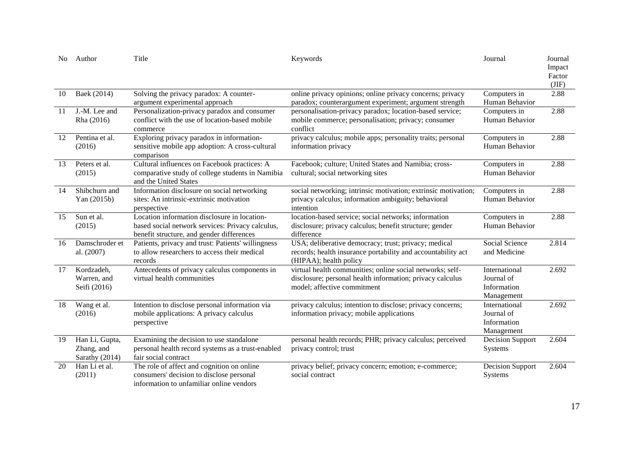| No. | Author                                                                                                                                                                                                                                      | Title                                                                                                                                                                                                                                        | Keywords                                                                                                                                              | Journal                                                  | Journal<br>Impact<br>Factor<br>(JIF) |
|-----|---------------------------------------------------------------------------------------------------------------------------------------------------------------------------------------------------------------------------------------------|----------------------------------------------------------------------------------------------------------------------------------------------------------------------------------------------------------------------------------------------|-------------------------------------------------------------------------------------------------------------------------------------------------------|----------------------------------------------------------|--------------------------------------|
| 10  | Baek (2014)                                                                                                                                                                                                                                 | Solving the privacy paradox: A counter-<br>argument experimental approach                                                                                                                                                                    | online privacy opinions; online privacy concerns; privacy<br>paradox; counterargument experiment; argument strength                                   | Computers in<br>Human Behavior                           | 2.88                                 |
| -11 | J.-M. Lee and<br>Rha (2016)                                                                                                                                                                                                                 | Personalization-privacy paradox and consumer<br>conflict with the use of location-based mobile<br>commerce                                                                                                                                   | personalisation-privacy paradox; location-based service;<br>mobile commerce; personalisation; privacy; consumer<br>conflict                           |                                                          | 2.88                                 |
| 12  | Pentina et al.<br>(2016)                                                                                                                                                                                                                    | Exploring privacy paradox in information-<br>sensitive mobile app adoption: A cross-cultural<br>comparison                                                                                                                                   | privacy calculus; mobile apps; personality traits; personal<br>Computers in<br>Human Behavior<br>information privacy                                  |                                                          | 2.88                                 |
| 13  | Peters et al.<br>(2015)                                                                                                                                                                                                                     | Cultural influences on Facebook practices: A<br>Facebook; culture; United States and Namibia; cross-<br>comparative study of college students in Namibia<br>cultural; social networking sites<br>and the United States                       |                                                                                                                                                       | Computers in<br>Human Behavior                           | 2.88                                 |
| 14  | Shibchurn and<br>Yan (2015b)                                                                                                                                                                                                                | Information disclosure on social networking<br>social networking; intrinsic motivation; extrinsic motivation;<br>sites: An intrinsic-extrinsic motivation<br>privacy calculus; information ambiguity; behavioral<br>intention<br>perspective |                                                                                                                                                       | Computers in<br>Human Behavior                           | 2.88                                 |
| 15  | Sun et al.<br>(2015)                                                                                                                                                                                                                        | Location information disclosure in location-<br>based social network services: Privacy calculus,<br>benefit structure, and gender differences                                                                                                | location-based service; social networks; information<br>disclosure; privacy calculus; benefit structure; gender<br>difference                         |                                                          | 2.88                                 |
| 16  | Damschroder et<br>al. (2007)                                                                                                                                                                                                                | Patients, privacy and trust: Patients' willingness<br>to allow researchers to access their medical<br>records                                                                                                                                | USA; deliberative democracy; trust; privacy; medical<br>records; health insurance portability and accountability act<br>(HIPAA); health policy        | Social Science<br>and Medicine                           | 2.814                                |
| 17  | Kordzadeh,<br>Warren, and<br>Seifi (2016)                                                                                                                                                                                                   | Antecedents of privacy calculus components in<br>virtual health communities                                                                                                                                                                  | virtual health communities; online social networks; self-<br>disclosure; personal health information; privacy calculus<br>model; affective commitment | International<br>Journal of<br>Information<br>Management | 2.692                                |
| 18  | Intention to disclose personal information via<br>privacy calculus; intention to disclose; privacy concerns;<br>Wang et al.<br>mobile applications: A privacy calculus<br>information privacy; mobile applications<br>(2016)<br>perspective |                                                                                                                                                                                                                                              | International<br>Journal of<br>Information<br>Management                                                                                              | 2.692                                                    |                                      |
| 19  | Han Li, Gupta,<br>Zhang, and<br>Sarathy (2014)                                                                                                                                                                                              | Examining the decision to use standalone<br>personal health record systems as a trust-enabled<br>fair social contract                                                                                                                        | personal health records; PHR; privacy calculus; perceived<br>privacy control; trust                                                                   | <b>Decision Support</b><br>Systems                       | 2.604                                |
| 20  | Han Li et al.<br>(2011)                                                                                                                                                                                                                     | The role of affect and cognition on online<br>consumers' decision to disclose personal<br>information to unfamiliar online vendors                                                                                                           | privacy belief; privacy concern; emotion; e-commerce;<br>social contract                                                                              | <b>Decision Support</b><br>Systems                       | 2.604                                |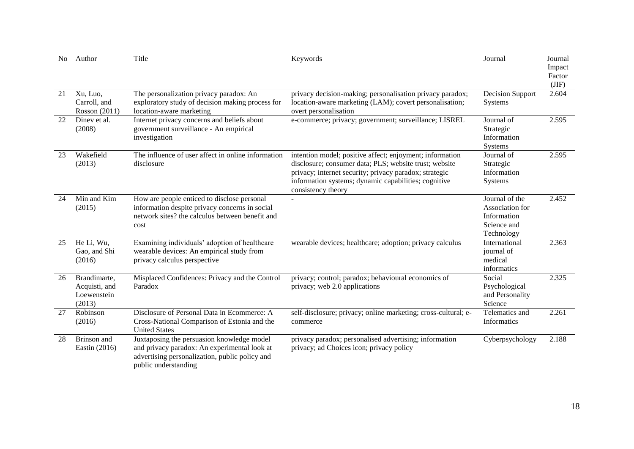| No. | Author                                                 | Title                                                                                                                                                                | Keywords                                                                                                                                                                                                                                                   | Journal                                                                       | Journal<br>Impact<br>Factor<br>(JIF) |
|-----|--------------------------------------------------------|----------------------------------------------------------------------------------------------------------------------------------------------------------------------|------------------------------------------------------------------------------------------------------------------------------------------------------------------------------------------------------------------------------------------------------------|-------------------------------------------------------------------------------|--------------------------------------|
| 21  | Xu, Luo,<br>Carroll, and<br>Rosson (2011)              | The personalization privacy paradox: An<br>exploratory study of decision making process for<br>location-aware marketing                                              | privacy decision-making; personalisation privacy paradox;<br>location-aware marketing (LAM); covert personalisation;<br>overt personalisation                                                                                                              | <b>Decision Support</b><br>Systems                                            | 2.604                                |
| 22  | Diney et al.<br>(2008)                                 | Internet privacy concerns and beliefs about<br>government surveillance - An empirical<br>investigation                                                               | e-commerce; privacy; government; surveillance; LISREL                                                                                                                                                                                                      | Journal of<br>Strategic<br>Information<br>Systems                             | 2.595                                |
| 23  | Wakefield<br>(2013)                                    | The influence of user affect in online information<br>disclosure                                                                                                     | intention model; positive affect; enjoyment; information<br>disclosure; consumer data; PLS; website trust; website<br>privacy; internet security; privacy paradox; strategic<br>information systems; dynamic capabilities; cognitive<br>consistency theory | Journal of<br>Strategic<br>Information<br>Systems                             | 2.595                                |
| 24  | Min and Kim<br>(2015)                                  | How are people enticed to disclose personal<br>information despite privacy concerns in social<br>network sites? the calculus between benefit and<br>cost             |                                                                                                                                                                                                                                                            | Journal of the<br>Association for<br>Information<br>Science and<br>Technology | 2.452                                |
| 25  | He Li, Wu,<br>Gao, and Shi<br>(2016)                   | Examining individuals' adoption of healthcare<br>wearable devices: An empirical study from<br>privacy calculus perspective                                           | wearable devices; healthcare; adoption; privacy calculus                                                                                                                                                                                                   | International<br>journal of<br>medical<br>informatics                         | 2.363                                |
| 26  | Brandimarte,<br>Acquisti, and<br>Loewenstein<br>(2013) | Misplaced Confidences: Privacy and the Control<br>Paradox                                                                                                            | privacy; control; paradox; behavioural economics of<br>privacy; web 2.0 applications                                                                                                                                                                       | Social<br>Psychological<br>and Personality<br>Science                         | 2.325                                |
| 27  | Robinson<br>(2016)                                     | Disclosure of Personal Data in Ecommerce: A<br>Cross-National Comparison of Estonia and the<br><b>United States</b>                                                  | self-disclosure; privacy; online marketing; cross-cultural; e-<br>commerce                                                                                                                                                                                 | Telematics and<br><b>Informatics</b>                                          | 2.261                                |
| 28  | Brinson and<br>Eastin (2016)                           | Juxtaposing the persuasion knowledge model<br>and privacy paradox: An experimental look at<br>advertising personalization, public policy and<br>public understanding | privacy paradox; personalised advertising; information<br>privacy; ad Choices icon; privacy policy                                                                                                                                                         | Cyberpsychology                                                               | 2.188                                |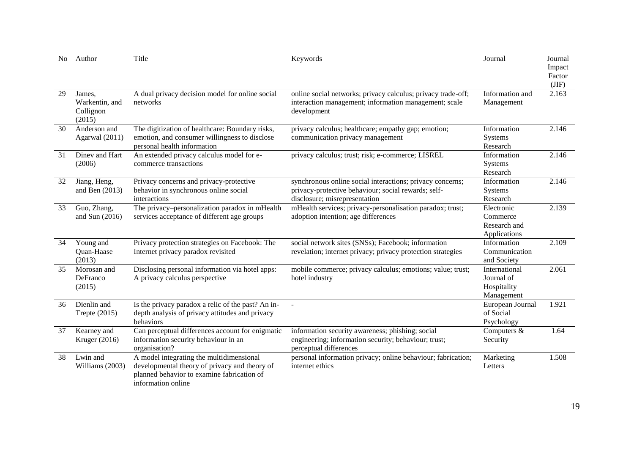| No.             | Author                                          | Title                                                                                                                                                                                                                                                 | Keywords                                                                                                                             | Journal                                                  | Journal<br>Impact<br>Factor<br>(JIF) |
|-----------------|-------------------------------------------------|-------------------------------------------------------------------------------------------------------------------------------------------------------------------------------------------------------------------------------------------------------|--------------------------------------------------------------------------------------------------------------------------------------|----------------------------------------------------------|--------------------------------------|
| 29              | James.<br>Warkentin, and<br>Collignon<br>(2015) | A dual privacy decision model for online social<br>networks                                                                                                                                                                                           | online social networks; privacy calculus; privacy trade-off;<br>interaction management; information management; scale<br>development | Information and<br>Management                            | 2.163                                |
| $\overline{30}$ | Anderson and<br>Agarwal (2011)                  | The digitization of healthcare: Boundary risks,<br>privacy calculus; healthcare; empathy gap; emotion;<br>emotion, and consumer willingness to disclose<br>communication privacy management<br>personal health information                            |                                                                                                                                      | Information<br>Systems<br>Research                       | 2.146                                |
| 31              | Diney and Hart<br>(2006)                        | An extended privacy calculus model for e-<br>privacy calculus; trust; risk; e-commerce; LISREL<br>commerce transactions                                                                                                                               |                                                                                                                                      | Information<br>Systems<br>Research                       | 2.146                                |
| 32              | Jiang, Heng,<br>and Ben $(2013)$                | synchronous online social interactions; privacy concerns;<br>Privacy concerns and privacy-protective<br>behavior in synchronous online social<br>privacy-protective behaviour; social rewards; self-<br>disclosure; misrepresentation<br>interactions |                                                                                                                                      | Information<br>Systems<br>Research                       | 2.146                                |
| 33              | Guo, Zhang,<br>and Sun $(2016)$                 | The privacy-personalization paradox in mHealth<br>services acceptance of different age groups                                                                                                                                                         | mHealth services; privacy-personalisation paradox; trust;<br>adoption intention; age differences                                     | Electronic<br>Commerce<br>Research and<br>Applications   | 2.139                                |
| 34              | Young and<br>Quan-Haase<br>(2013)               | Privacy protection strategies on Facebook: The<br>Internet privacy paradox revisited                                                                                                                                                                  | social network sites (SNSs); Facebook; information<br>revelation; internet privacy; privacy protection strategies                    | Information<br>Communication<br>and Society              | 2.109                                |
| 35              | Morosan and<br>DeFranco<br>(2015)               | Disclosing personal information via hotel apps:<br>A privacy calculus perspective                                                                                                                                                                     | mobile commerce; privacy calculus; emotions; value; trust;<br>hotel industry                                                         | International<br>Journal of<br>Hospitality<br>Management | 2.061                                |
| 36              | Dienlin and<br>Trepte (2015)                    | Is the privacy paradox a relic of the past? An in-<br>depth analysis of privacy attitudes and privacy<br>behaviors                                                                                                                                    | $\overline{\phantom{a}}$                                                                                                             | European Journal<br>of Social<br>Psychology              | 1.921                                |
| 37              | Kearney and<br>Kruger (2016)                    | Can perceptual differences account for enigmatic<br>information security behaviour in an<br>organisation?                                                                                                                                             | information security awareness; phishing; social<br>engineering; information security; behaviour; trust;<br>perceptual differences   | Computers &<br>Security                                  | 1.64                                 |
| 38              | Lwin and<br>Williams (2003)                     | A model integrating the multidimensional<br>developmental theory of privacy and theory of<br>planned behavior to examine fabrication of<br>information online                                                                                         | personal information privacy; online behaviour; fabrication;<br>internet ethics                                                      | Marketing<br>Letters                                     | 1.508                                |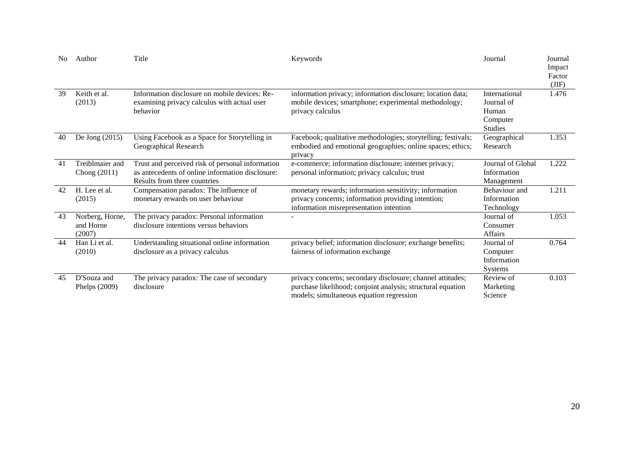| No | Author                                 | Title                                                                                                                                | Keywords                                                                                                                                                              | Journal                                                            | Journal<br>Impact<br>Factor<br>(JIF) |
|----|----------------------------------------|--------------------------------------------------------------------------------------------------------------------------------------|-----------------------------------------------------------------------------------------------------------------------------------------------------------------------|--------------------------------------------------------------------|--------------------------------------|
| 39 | Keith et al.<br>(2013)                 | Information disclosure on mobile devices: Re-<br>examining privacy calculus with actual user<br>behavior                             | information privacy; information disclosure; location data;<br>mobile devices; smartphone; experimental methodology;<br>privacy calculus                              | International<br>Journal of<br>Human<br>Computer<br><b>Studies</b> | 1.476                                |
| 40 | De Jong (2015)                         | Using Facebook as a Space for Storytelling in<br>Geographical Research                                                               | Facebook; qualitative methodologies; storytelling; festivals;<br>embodied and emotional geographies; online spaces; ethics;<br>privacy                                | Geographical<br>Research                                           | 1.353                                |
| 41 | Treiblmaier and<br>Chong (2011)        | Trust and perceived risk of personal information<br>as antecedents of online information disclosure:<br>Results from three countries | e-commerce; information disclosure; internet privacy;<br>personal information; privacy calculus; trust                                                                | Journal of Global<br>Information<br>Management                     | 1.222                                |
| 42 | H. Lee et al.<br>(2015)                | Compensation paradox: The influence of<br>monetary rewards on user behaviour                                                         | monetary rewards; information sensitivity; information<br>privacy concerns; information providing intention;<br>information misrepresentation intention               | Behaviour and<br>Information<br>Technology                         | 1.211                                |
| 43 | Norberg, Horne,<br>and Horne<br>(2007) | The privacy paradox: Personal information<br>disclosure intentions versus behaviors                                                  |                                                                                                                                                                       | Journal of<br>Consumer<br>Affairs                                  | 1.053                                |
| 44 | Han Li et al.<br>(2010)                | Understanding situational online information<br>disclosure as a privacy calculus                                                     | privacy belief; information disclosure; exchange benefits;<br>fairness of information exchange                                                                        | Journal of<br>Computer<br>Information<br><b>Systems</b>            | 0.764                                |
| 45 | D'Souza and<br>Phelps (2009)           | The privacy paradox: The case of secondary<br>disclosure                                                                             | privacy concerns; secondary disclosure; channel attitudes;<br>purchase likelihood; conjoint analysis; structural equation<br>models; simultaneous equation regression | Review of<br>Marketing<br>Science                                  | 0.103                                |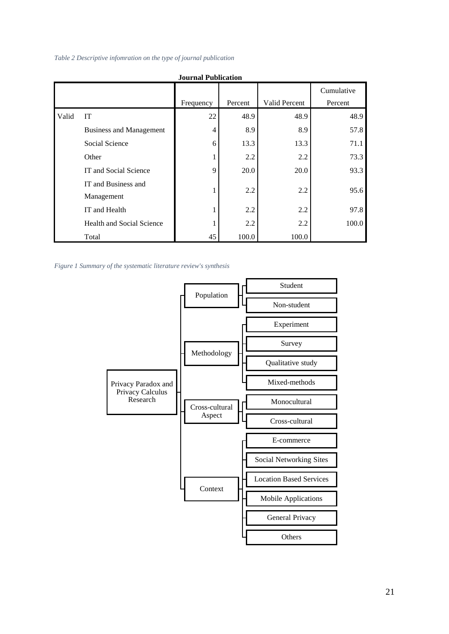#### *Table 2 Descriptive infomration on the type of journal publication*

| <b>Journal Publication</b> |                                   |           |         |               |                       |  |  |  |
|----------------------------|-----------------------------------|-----------|---------|---------------|-----------------------|--|--|--|
|                            |                                   | Frequency | Percent | Valid Percent | Cumulative<br>Percent |  |  |  |
| Valid                      | <b>IT</b>                         | 22        | 48.9    | 48.9          | 48.9                  |  |  |  |
|                            | <b>Business and Management</b>    | 4         | 8.9     | 8.9           | 57.8                  |  |  |  |
|                            | Social Science                    | 6         | 13.3    | 13.3          | 71.1                  |  |  |  |
|                            | Other                             |           | 2.2     | 2.2           | 73.3                  |  |  |  |
|                            | IT and Social Science             | 9         | 20.0    | 20.0          | 93.3                  |  |  |  |
|                            | IT and Business and<br>Management | 1         | 2.2     | 2.2           | 95.6                  |  |  |  |
|                            | IT and Health                     |           | 2.2     | 2.2           | 97.8                  |  |  |  |
|                            | <b>Health and Social Science</b>  |           | 2.2     | 2.2           | 100.0                 |  |  |  |
|                            | Total                             | 45        | 100.0   | 100.0         |                       |  |  |  |

*Figure 1 Summary of the systematic literature review's synthesis*